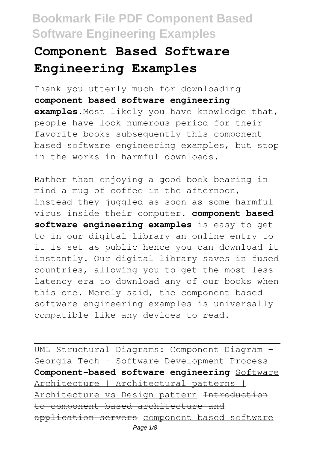# **Component Based Software Engineering Examples**

Thank you utterly much for downloading **component based software engineering examples**.Most likely you have knowledge that, people have look numerous period for their favorite books subsequently this component based software engineering examples, but stop in the works in harmful downloads.

Rather than enjoying a good book bearing in mind a mug of coffee in the afternoon, instead they juggled as soon as some harmful virus inside their computer. **component based software engineering examples** is easy to get to in our digital library an online entry to it is set as public hence you can download it instantly. Our digital library saves in fused countries, allowing you to get the most less latency era to download any of our books when this one. Merely said, the component based software engineering examples is universally compatible like any devices to read.

UML Structural Diagrams: Component Diagram - Georgia Tech - Software Development Process **Component-based software engineering** Software Architecture | Architectural patterns | Architecture vs Design pattern Introduction to component-based architecture and application servers component based software Page 1/8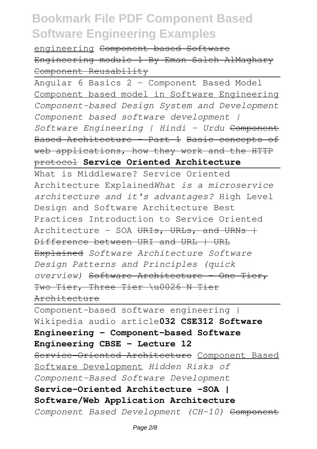engineering Component based Software Engineering module 1 By Eman Saleh AlMaghary Component Reusability

Angular 6 Basics 2 - Component Based Model Component based model in Software Engineering *Component-based Design System and Development Component based software development | Software Engineering | Hindi - Urdu* Component Based Architecture - Part 1 Basic concepts of web applications, how they work and the HTTP protocol **Service Oriented Architecture**

What is Middleware? Service Oriented Architecture Explained*What is a microservice architecture and it's advantages?* High Level Design and Software Architecture Best Practices Introduction to Service Oriented Architecture - SOA URIs, URLs, and URNs + Difference between URI and URL | URL Explained *Software Architecture Software Design Patterns and Principles (quick overview)* Software Architecture - One Tier, Two Tier, Three Tier \u0026 N Tier Architecture

Component-based software engineering | Wikipedia audio article**032 CSE312 Software Engineering - Component-based Software Engineering CBSE - Lecture 12** Service-Oriented Architecture Component Based Software Development *Hidden Risks of Component-Based Software Development* **Service-Oriented Architecture -SOA | Software/Web Application Architecture** *Component Based Development (CH-10)* Component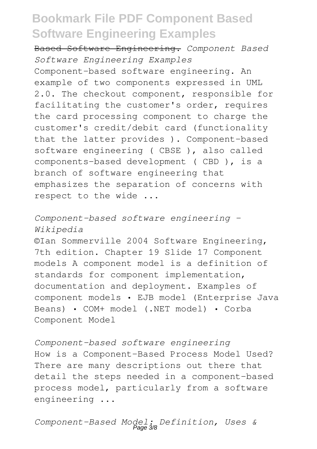Based Software Engineering. *Component Based Software Engineering Examples* Component-based software engineering. An example of two components expressed in UML 2.0. The checkout component, responsible for facilitating the customer's order, requires the card processing component to charge the customer's credit/debit card (functionality that the latter provides ). Component-based software engineering ( CBSE ), also called components-based development ( CBD ), is a branch of software engineering that emphasizes the separation of concerns with respect to the wide ...

*Component-based software engineering - Wikipedia*

©Ian Sommerville 2004 Software Engineering, 7th edition. Chapter 19 Slide 17 Component models A component model is a definition of standards for component implementation, documentation and deployment. Examples of component models • EJB model (Enterprise Java Beans) • COM+ model (.NET model) • Corba Component Model

*Component-based software engineering* How is a Component-Based Process Model Used? There are many descriptions out there that detail the steps needed in a component-based process model, particularly from a software engineering ...

*Component-Based Model: Definition, Uses &* Page 3/8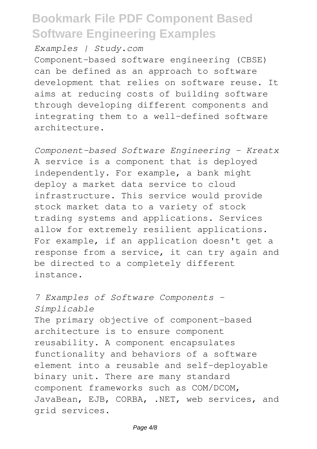*Examples | Study.com*

Component-based software engineering (CBSE) can be defined as an approach to software development that relies on software reuse. It aims at reducing costs of building software through developing different components and integrating them to a well-defined software architecture.

*Component-based Software Engineering - Kreatx* A service is a component that is deployed independently. For example, a bank might deploy a market data service to cloud infrastructure. This service would provide stock market data to a variety of stock trading systems and applications. Services allow for extremely resilient applications. For example, if an application doesn't get a response from a service, it can try again and be directed to a completely different instance.

#### *7 Examples of Software Components - Simplicable*

The primary objective of component-based architecture is to ensure component reusability. A component encapsulates functionality and behaviors of a software element into a reusable and self-deployable binary unit. There are many standard component frameworks such as COM/DCOM, JavaBean, EJB, CORBA, .NET, web services, and grid services.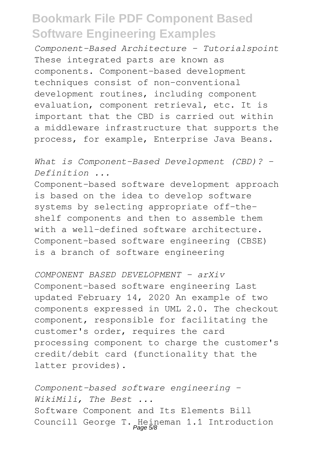*Component-Based Architecture - Tutorialspoint* These integrated parts are known as components. Component-based development techniques consist of non-conventional development routines, including component evaluation, component retrieval, etc. It is important that the CBD is carried out within a middleware infrastructure that supports the process, for example, Enterprise Java Beans.

*What is Component-Based Development (CBD)? - Definition ...*

Component-based software development approach is based on the idea to develop software systems by selecting appropriate off-theshelf components and then to assemble them with a well-defined software architecture. Component-based software engineering (CBSE) is a branch of software engineering

*COMPONENT BASED DEVELOPMENT - arXiv* Component-based software engineering Last updated February 14, 2020 An example of two components expressed in UML 2.0. The checkout component, responsible for facilitating the customer's order, requires the card processing component to charge the customer's credit/debit card (functionality that the latter provides).

*Component-based software engineering - WikiMili, The Best ...* Software Component and Its Elements Bill Councill George T. Heineman 1.1 Introduction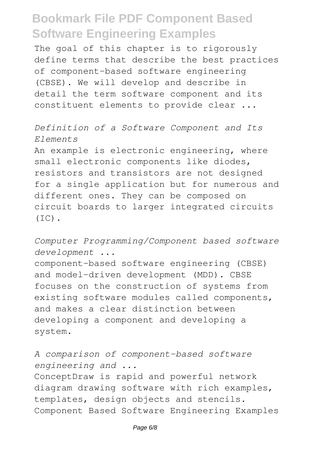The goal of this chapter is to rigorously define terms that describe the best practices of component-based software engineering (CBSE). We will develop and describe in detail the term software component and its constituent elements to provide clear ...

#### *Definition of a Software Component and Its Elements*

An example is electronic engineering, where small electronic components like diodes, resistors and transistors are not designed for a single application but for numerous and different ones. They can be composed on circuit boards to larger integrated circuits  $(IC)$ .

#### *Computer Programming/Component based software development ...*

component-based software engineering (CBSE) and model-driven development (MDD). CBSE focuses on the construction of systems from existing software modules called components, and makes a clear distinction between developing a component and developing a system.

#### *A comparison of component-based software engineering and ...* ConceptDraw is rapid and powerful network diagram drawing software with rich examples, templates, design objects and stencils. Component Based Software Engineering Examples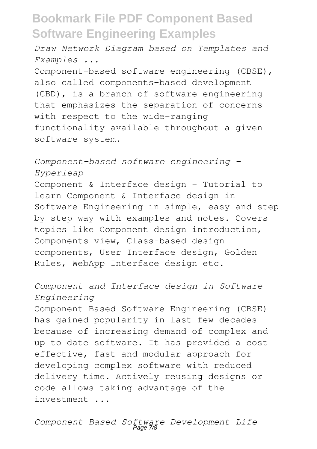*Draw Network Diagram based on Templates and Examples ...*

Component-based software engineering (CBSE), also called components-based development (CBD), is a branch of software engineering that emphasizes the separation of concerns with respect to the wide-ranging functionality available throughout a given software system.

*Component-based software engineering - Hyperleap*

Component & Interface design - Tutorial to learn Component & Interface design in Software Engineering in simple, easy and step by step way with examples and notes. Covers topics like Component design introduction, Components view, Class-based design components, User Interface design, Golden Rules, WebApp Interface design etc.

#### *Component and Interface design in Software Engineering*

Component Based Software Engineering (CBSE) has gained popularity in last few decades because of increasing demand of complex and up to date software. It has provided a cost effective, fast and modular approach for developing complex software with reduced delivery time. Actively reusing designs or code allows taking advantage of the investment ...

*Component Based Software Development Life* Page 7/8